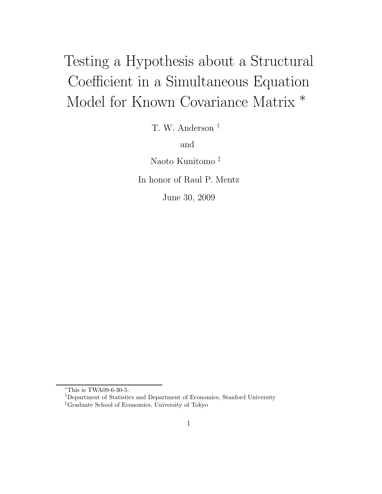# Testing a Hypothesis about a Structural Coefficient in a Simultaneous Equation Model for Known Covariance Matrix <sup>∗</sup>

T. W. Anderson †

and

Naoto Kunitomo ‡

In honor of Raul P. Mentz

June 30, 2009

<sup>∗</sup>This is TWA09-6-30-5.

<sup>†</sup>Department of Statistics and Department of Economics, Stanford University

<sup>‡</sup>Graduate School of Economics, University of Tokyo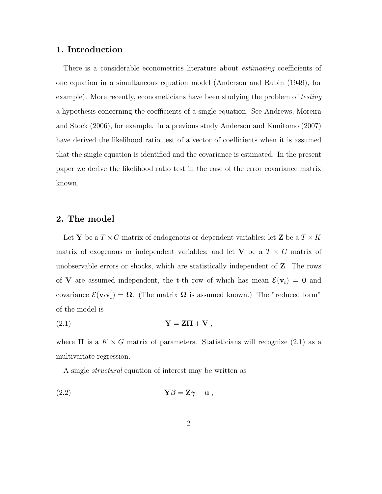#### **1. Introduction**

There is a considerable econometrics literature about *estimating* coefficients of one equation in a simultaneous equation model (Anderson and Rubin (1949), for example). More recently, econometicians have been studying the problem of *testing* a hypothesis concerning the coefficients of a single equation. See Andrews, Moreira and Stock (2006), for example. In a previous study Anderson and Kunitomo (2007) have derived the likelihood ratio test of a vector of coefficients when it is assumed that the single equation is identified and the covariance is estimated. In the present paper we derive the likelihood ratio test in the case of the error covariance matrix known.

### **2. The model**

Let **Y** be a  $T \times G$  matrix of endogenous or dependent variables; let **Z** be a  $T \times K$ matrix of exogenous or independent variables; and let **V** be a  $T \times G$  matrix of unobservable errors or shocks, which are statistically independent of **Z**. The rows of **V** are assumed independent, the t-th row of which has mean  $\mathcal{E}(\mathbf{v}_t) = \mathbf{0}$  and covariance  $\mathcal{E}(\mathbf{v}_t \mathbf{v}_t') = \mathbf{\Omega}$ . (The matrix  $\mathbf{\Omega}$  is assumed known.) The "reduced form" of the model is

$$
Y = Z\Pi + V,
$$

where  $\Pi$  is a  $K \times G$  matrix of parameters. Statisticians will recognize (2.1) as a multivariate regression.

A single *structural* equation of interest may be written as

$$
(2.2) \t\t Y\beta = Z\gamma + u ,
$$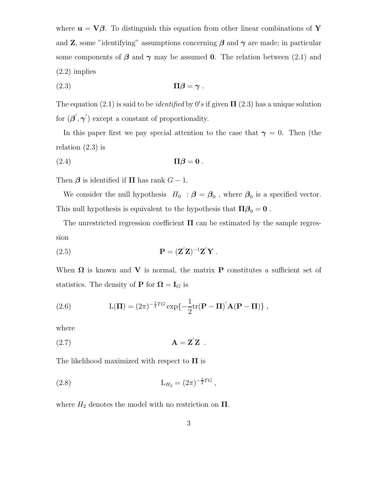where  $\mathbf{u} = \nabla \beta$ . To distinguish this equation from other linear combinations of **Y** and **Z**, some "identifying" assumptions concerning  $\beta$  and  $\gamma$  are made; in particular some components of  $\beta$  and  $\gamma$  may be assumed **0**. The relation between (2.1) and (2.2) implies

$$
(2.3) \t\t \Pi \boldsymbol{\beta} = \boldsymbol{\gamma} .
$$

The equation  $(2.1)$  is said to be *identified* by  $0's$  if given  $\Pi$   $(2.3)$  has a unique solution for  $(\boldsymbol{\beta}', \boldsymbol{\gamma}')$  except a constant of proportionality.

In this paper first we pay special attention to the case that  $\gamma = 0$ . Then (the relation  $(2.3)$  is

$$
(2.4) \t\t \Pi \beta = 0.
$$

Then  $\beta$  is identified if  $\Pi$  has rank  $G-1$ .

We consider the null hypothesis  $H_0$ :  $\beta = \beta_0$ , where  $\beta_0$  is a specified vector. This null hypothesis is equivalent to the hypothesis that  $\Pi \beta_0 = 0$ .

The unrestricted regression coefficient  $\Pi$  can be estimated by the sample regression

(2.5) 
$$
\mathbf{P} = (\mathbf{Z}'\mathbf{Z})^{-1}\mathbf{Z}'\mathbf{Y}.
$$

When  $\Omega$  is known and **V** is normal, the matrix **P** constitutes a sufficient set of statistics. The density of **P** for  $\Omega = I_G$  is

(2.6) 
$$
L(\mathbf{\Pi}) = (2\pi)^{-\frac{1}{2}TG} \exp\{-\frac{1}{2}\text{tr}(\mathbf{P} - \mathbf{\Pi})'\mathbf{A}(\mathbf{P} - \mathbf{\Pi})\},
$$

where

$$
\mathbf{A} = \mathbf{Z}'\mathbf{Z} .
$$

The likelihood maximized with respect to **Π** is

(2.8) 
$$
L_{H_2} = (2\pi)^{-\frac{1}{2}TG},
$$

where  $H_2$  denotes the model with no restriction on  $\Pi$ .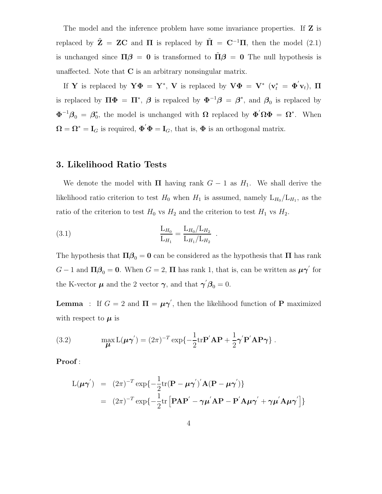The model and the inference problem have some invariance properties. If **Z** is replaced by  $\tilde{\mathbf{Z}} = \mathbf{Z}\mathbf{C}$  and  $\Pi$  is replaced by  $\tilde{\Pi} = \mathbf{C}^{-1}\Pi$ , then the model (2.1) is unchanged since  $\Pi\beta = 0$  is transformed to  $\tilde{\Pi}\beta = 0$  The null hypothesis is unaffected. Note that **C** is an arbitrary nonsingular matrix.

If **Y** is replaced by  $\mathbf{Y}\Phi = \mathbf{Y}^*$ , **V** is replaced by  $\mathbf{V}\Phi = \mathbf{V}^*$  ( $\mathbf{v}_t^* = \Phi' \mathbf{v}_t$ ),  $\Pi$ is replaced by  $\Pi\Phi = \Pi^*, \ \beta$  is repalced by  $\Phi^{-1}\beta = \beta^*$ , and  $\beta_0$  is replaced by  $\Phi^{-1}\beta_0 = \beta_0^*$ , the model is unchanged with **Ω** replaced by  $\Phi' \Omega \Phi = \Omega^*$ . When  $\mathbf{\Omega} = \mathbf{\Omega}^* = \mathbf{I}_G$  is required,  $\mathbf{\Phi}' \mathbf{\Phi} = \mathbf{I}_G$ , that is,  $\mathbf{\Phi}$  is an orthogonal matrix.

#### **3. Likelihood Ratio Tests**

We denote the model with  $\Pi$  having rank  $G - 1$  as  $H_1$ . We shall derive the likelihood ratio criterion to test  $H_0$  when  $H_1$  is assumed, namely  $L_{H_0}/L_{H_1}$ , as the ratio of the criterion to test  $H_0$  vs  $H_2$  and the criterion to test  $H_1$  vs  $H_2$ .

(3.1) 
$$
\frac{L_{H_0}}{L_{H_1}} = \frac{L_{H_0}/L_{H_2}}{L_{H_1}/L_{H_2}}.
$$

The hypothesis that  $\Pi \beta_0 = 0$  can be considered as the hypothesis that  $\Pi$  has rank  $G-1$  and  $\Pi\mathcal{B}_0=\mathbf{0}$ . When  $G=2$ ,  $\Pi$  has rank 1, that is, can be written as  $\boldsymbol{\mu}\boldsymbol{\gamma}'$  for the K-vector  $\mu$  and the 2 vector  $\gamma$ , and that  $\gamma' \beta_0 = 0$ .

**Lemma** : If  $G = 2$  and  $\Pi = \mu \gamma'$ , then the likelihood function of **P** maximized with respect to  $\mu$  is

(3.2) 
$$
\max_{\boldsymbol{\mu}} \mathcal{L}(\boldsymbol{\mu}\boldsymbol{\gamma}') = (2\pi)^{-T} \exp\{-\frac{1}{2} \text{tr} \mathbf{P}' \mathbf{A} \mathbf{P} + \frac{1}{2} \boldsymbol{\gamma}' \mathbf{P}' \mathbf{A} \mathbf{P} \boldsymbol{\gamma}\}.
$$

**Proof** :

$$
L(\mu \gamma') = (2\pi)^{-T} \exp\{-\frac{1}{2} \text{tr}(\mathbf{P} - \mu \gamma')' \mathbf{A} (\mathbf{P} - \mu \gamma')\}
$$
  
=  $(2\pi)^{-T} \exp\{-\frac{1}{2} \text{tr} [\mathbf{P} \mathbf{A} \mathbf{P}' - \gamma \mu' \mathbf{A} \mathbf{P} - \mathbf{P}' \mathbf{A} \mu \gamma' + \gamma \mu' \mathbf{A} \mu \gamma']\}$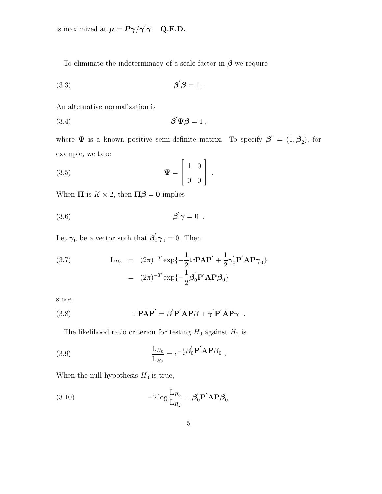is maximized at  $\boldsymbol{\mu} = \boldsymbol{P}\boldsymbol{\gamma}/\boldsymbol{\gamma}'\boldsymbol{\gamma}$ . Q.E.D.

To eliminate the indeterminacy of a scale factor in *β* we require

$$
\beta' \beta = 1.
$$

An alternative normalization is

$$
\beta' \Psi \beta = 1 ,
$$

where  $\Psi$  is a known positive semi-definite matrix. To specify  $\boldsymbol{\beta}' = (1, \boldsymbol{\beta}_2)$ , for example, we take  $\Gamma$ 

(3.5) 
$$
\mathbf{\Psi} = \begin{bmatrix} 1 & 0 \\ 0 & 0 \end{bmatrix}.
$$

When  $\Pi$  is  $K \times 2$ , then  $\Pi \boldsymbol{\beta} = \mathbf{0}$  implies

$$
\beta' \gamma = 0 \; .
$$

Let  $\gamma_0$  be a vector such that  $\beta'_0 \gamma_0 = 0$ . Then

(3.7) 
$$
\mathbf{L}_{H_0} = (2\pi)^{-T} \exp\{-\frac{1}{2} \text{tr} \mathbf{P} \mathbf{A} \mathbf{P}' + \frac{1}{2} \boldsymbol{\gamma}_0' \mathbf{P}' \mathbf{A} \mathbf{P} \boldsymbol{\gamma}_0\}
$$

$$
= (2\pi)^{-T} \exp\{-\frac{1}{2} \boldsymbol{\beta}_0' \mathbf{P}' \mathbf{A} \mathbf{P} \boldsymbol{\beta}_0\}
$$

since

(3.8) 
$$
\text{tr} \mathbf{P} \mathbf{A} \mathbf{P}' = \boldsymbol{\beta}' \mathbf{P}' \mathbf{A} \mathbf{P} \boldsymbol{\beta} + \boldsymbol{\gamma}' \mathbf{P}' \mathbf{A} \mathbf{P} \boldsymbol{\gamma}.
$$

The likelihood ratio criterion for testing  $H_0$  against  $H_2$  is

(3.9) 
$$
\frac{\mathcal{L}_{H_0}}{\mathcal{L}_{H_2}} = e^{-\frac{1}{2}\boldsymbol{\beta}_0'} \mathbf{P}' \mathbf{A} \mathbf{P} \boldsymbol{\beta}_0.
$$

When the null hypothesis  $H_0$  is true,

(3.10) 
$$
-2\log\frac{L_{H_0}}{L_{H_2}} = \beta'_0 \mathbf{P}' \mathbf{A} \mathbf{P} \beta_0
$$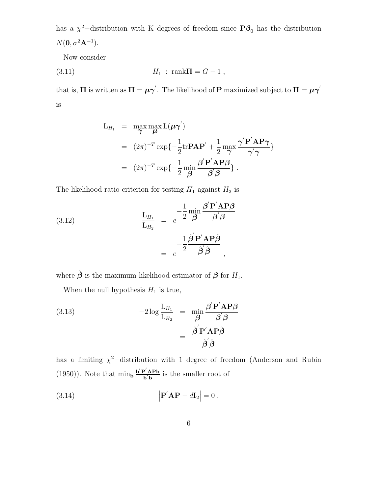has a  $\chi^2$ −distribution with K degrees of freedom since **P** $\beta$ <sub>0</sub> has the distribution  $N(\mathbf{0}, \sigma^2 \mathbf{A}^{-1}).$ 

Now consider

(3.11) 
$$
H_1 : \text{rank } \Pi = G - 1,
$$

that is,  $\Pi$  is written as  $\Pi = \mu \gamma'$ . The likelihood of **P** maximized subject to  $\Pi = \mu \gamma'$ is

$$
L_{H_1} = \max_{\gamma} \max_{\mu} L(\mu \gamma')
$$
  
=  $(2\pi)^{-T} \exp\{-\frac{1}{2} \text{tr} \mathbf{P} \mathbf{A} \mathbf{P}' + \frac{1}{2} \max_{\gamma} \frac{\gamma' \mathbf{P}' \mathbf{A} \mathbf{P} \gamma}{\gamma' \gamma}\}$   
=  $(2\pi)^{-T} \exp\{-\frac{1}{2} \min_{\beta} \frac{\beta' \mathbf{P}' \mathbf{A} \mathbf{P} \beta}{\beta' \beta}\}.$ 

The likelihood ratio criterion for testing  $H_1$  against  $H_2$  is

(3.12)  
\n
$$
\frac{\mathbf{L}_{H_1}}{\mathbf{L}_{H_2}} = e^{-\frac{1}{2} \frac{\mathbf{m} \mathbf{m}}{\mathbf{B}} \frac{\boldsymbol{\beta}' \mathbf{P}' \mathbf{A} \mathbf{P} \boldsymbol{\beta}}{\mathbf{B}' \mathbf{B}}
$$
\n
$$
= e^{-\frac{1}{2} \frac{\hat{\boldsymbol{\beta}}' \mathbf{P}' \mathbf{A} \mathbf{P} \hat{\boldsymbol{\beta}}}{\hat{\boldsymbol{\beta}}' \hat{\boldsymbol{\beta}}},
$$

where  $\hat{\boldsymbol{\beta}}$  is the maximum likelihood estimator of  $\boldsymbol{\beta}$  for  $H_1$ .

When the null hypothesis  $H_1$  is true,

(3.13) 
$$
-2\log \frac{L_{H_1}}{L_{H_2}} = \min_{\boldsymbol{\beta}} \frac{\boldsymbol{\beta}' \mathbf{P}' \mathbf{A} \mathbf{P} \boldsymbol{\beta}}{\boldsymbol{\beta}' \boldsymbol{\beta}} = \frac{\hat{\boldsymbol{\beta}}' \mathbf{P}' \mathbf{A} \mathbf{P} \hat{\boldsymbol{\beta}}}{\hat{\boldsymbol{\beta}}' \hat{\boldsymbol{\beta}}}
$$

has a limiting  $\chi^2$ -distribution with 1 degree of freedom (Anderson and Rubin (1950)). Note that  $\min_{\mathbf{b}} \frac{\mathbf{b}^{\'}\mathbf{P}^{\'}\mathbf{A} \mathbf{P} \mathbf{b}}{\mathbf{b}^{\'}\mathbf{b}}$  $\frac{\partial {\bf A} \cdot {\bf b}}{\partial b}$  is the smaller root of

(3.14) 
$$
\left| \mathbf{P}^{'} \mathbf{A} \mathbf{P} - d\mathbf{I}_{2} \right| = 0.
$$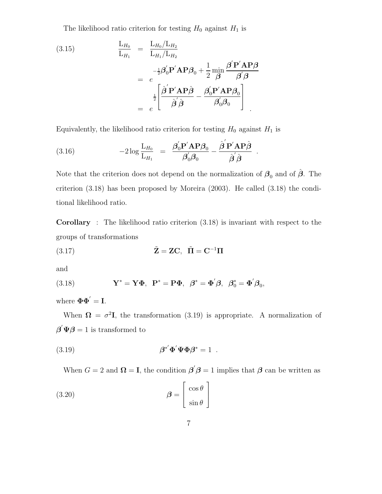The likelihood ratio criterion for testing  $H_0$  against  $H_1$  is

(3.15)  
\n
$$
\frac{L_{H_0}}{L_{H_1}} = \frac{L_{H_0}/L_{H_2}}{L_{H_1}/L_{H_2}}
$$
\n
$$
= e^{-\frac{1}{2}\beta_0^{'}\mathbf{P}'\mathbf{A}\mathbf{P}\beta_0 + \frac{1}{2}\min_{\mathbf{\beta}} \frac{\beta^{'}\mathbf{P}'\mathbf{A}\mathbf{P}\beta}{\beta^{'}\beta}}
$$
\n
$$
= e^{-\frac{1}{2}\left[\frac{\hat{\beta}^{'}\mathbf{P}'\mathbf{A}\mathbf{P}\hat{\beta}}{\hat{\beta}^{'}\hat{\beta}} - \frac{\beta_0^{'}\mathbf{P}'\mathbf{A}\mathbf{P}\beta_0}{\beta_0^{'}\beta_0}\right]}.
$$

Equivalently, the likelihood ratio criterion for testing  $H_0$  against  $H_1$  is

(3.16) 
$$
-2\log\frac{L_{H_0}}{L_{H_1}} = \frac{\beta'_0 P' A P \beta_0}{\beta'_0 \beta_0} - \frac{\hat{\beta}' P' A P \hat{\beta}}{\hat{\beta}' \hat{\beta}}.
$$

Note that the criterion does not depend on the normalization of  $\beta_0$  and of  $\hat{\beta}$ . The criterion (3.18) has been proposed by Moreira (2003). He called (3.18) the conditional likelihood ratio.

**Corollary** : The likelihood ratio criterion (3.18) is invariant with respect to the groups of transformations

(3.17) 
$$
\tilde{\mathbf{Z}} = \mathbf{Z}\mathbf{C}, \quad \tilde{\mathbf{\Pi}} = \mathbf{C}^{-1}\mathbf{\Pi}
$$

and

(3.18) 
$$
\mathbf{Y}^* = \mathbf{Y}\mathbf{\Phi}, \ \ \mathbf{P}^* = \mathbf{P}\mathbf{\Phi}, \ \ \boldsymbol{\beta}^* = \mathbf{\Phi}'\boldsymbol{\beta}, \ \ \boldsymbol{\beta}_0^* = \mathbf{\Phi}'\boldsymbol{\beta}_0,
$$

where  $\mathbf{\Phi}\mathbf{\Phi}' = \mathbf{I}$ .

When  $\Omega = \sigma^2 I$ , the transformation (3.19) is appropriate. A normalization of  $\boldsymbol{\beta}' \boldsymbol{\Psi} \boldsymbol{\beta} = 1$  is transformed to

$$
\beta^* \Phi' \Phi \Phi \Phi^* = 1 .
$$

When  $G = 2$  and  $\Omega = I$ , the condition  $\beta' \beta = 1$  implies that  $\beta$  can be written as

$$
\beta = \begin{bmatrix} \cos \theta \\ \sin \theta \end{bmatrix}
$$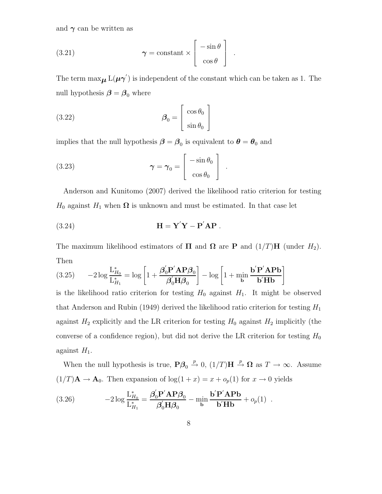and  $\gamma$  can be written as

(3.21) 
$$
\boldsymbol{\gamma} = \text{constant} \times \begin{bmatrix} -\sin \theta \\ \cos \theta \end{bmatrix} .
$$

The term  $\max_{\mu} L(\mu \gamma')$  is independent of the constant which can be taken as 1. The null hypothesis  $\beta = \beta_0$  where

(3.22) 
$$
\beta_0 = \begin{bmatrix} \cos \theta_0 \\ \sin \theta_0 \end{bmatrix}
$$

implies that the null hypothesis  $\beta = \beta_0$  is equivalent to  $\theta = \theta_0$  and

(3.23) 
$$
\boldsymbol{\gamma} = \boldsymbol{\gamma}_0 = \begin{bmatrix} -\sin \theta_0 \\ \cos \theta_0 \end{bmatrix} .
$$

Anderson and Kunitomo (2007) derived the likelihood ratio criterion for testing  $H_0$  against  $H_1$  when  $\Omega$  is unknown and must be estimated. In that case let

(3.24) 
$$
\mathbf{H} = \mathbf{Y}'\mathbf{Y} - \mathbf{P}'\mathbf{A}\mathbf{P}.
$$

The maximum likelihood estimators of  $\Pi$  and  $\Omega$  are **P** and  $(1/T)H$  (under  $H_2$ ). Then

(3.25) 
$$
-2\log \frac{\mathcal{L}_{H_0}^*}{\mathcal{L}_{H_1}^*} = \log \left[1 + \frac{\beta_0^{'} \mathbf{P'} \mathbf{A} \mathbf{P} \beta_0}{\beta_0^{'} \mathbf{H} \beta_0}\right] - \log \left[1 + \min_{\mathbf{b}} \frac{\mathbf{b'} \mathbf{P'} \mathbf{A} \mathbf{P} \mathbf{b}}{\mathbf{b'} \mathbf{H} \mathbf{b}}\right]
$$

is the likelihood ratio criterion for testing  $H_0$  against  $H_1$ . It might be observed that Anderson and Rubin (1949) derived the likelihood ratio criterion for testing  $H_1$ against  $H_2$  explicitly and the LR criterion for testing  $H_0$  against  $H_2$  implicitly (the converse of a confidence region), but did not derive the LR criterion for testing  $H_0$ against  $H_1$ .

When the null hypothesis is true,  $P\beta_0 \stackrel{p}{\rightarrow} 0$ ,  $(1/T)H \stackrel{p}{\rightarrow} \Omega$  as  $T \rightarrow \infty$ . Assume  $(1/T)$ **A**  $\rightarrow$  **A**<sub>0</sub>. Then expansion of log(1+x) = x +  $o_p(1)$  for x  $\rightarrow$  0 yields

(3.26) 
$$
-2\log \frac{\mathcal{L}_{H_0}^*}{\mathcal{L}_{H_1}^*} = \frac{\beta_0' \mathbf{P}' \mathbf{A} \mathbf{P} \beta_0}{\beta_0' \mathbf{H} \beta_0} - \min_{\mathbf{b}} \frac{\mathbf{b}' \mathbf{P}' \mathbf{A} \mathbf{P} \mathbf{b}}{\mathbf{b}' \mathbf{H} \mathbf{b}} + o_p(1) .
$$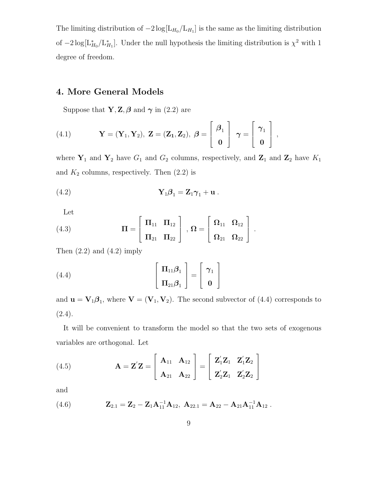The limiting distribution of  $-2 \log[L_{H_0}/L_{H_1}]$  is the same as the limiting distribution of  $-2\log[\mathcal{L}_{H_0}^*/\mathcal{L}_{H_1}^*]$ . Under the null hypothesis the limiting distribution is  $\chi^2$  with 1 degree of freedom.

## **4. More General Models**

Suppose that **Y**, **Z**,  $\beta$  and  $\gamma$  in (2.2) are

(4.1) 
$$
\mathbf{Y} = (\mathbf{Y}_1, \mathbf{Y}_2), \ \mathbf{Z} = (\mathbf{Z}_1, \mathbf{Z}_2), \ \boldsymbol{\beta} = \begin{bmatrix} \boldsymbol{\beta}_1 \\ \mathbf{0} \end{bmatrix} \ \boldsymbol{\gamma} = \begin{bmatrix} \boldsymbol{\gamma}_1 \\ \mathbf{0} \end{bmatrix},
$$

where  $\mathbf{Y}_1$  and  $\mathbf{Y}_2$  have  $G_1$  and  $G_2$  columns, respectively, and  $\mathbf{Z}_1$  and  $\mathbf{Z}_2$  have  $K_1$ and  $K_2$  columns, respectively. Then  $(2.2)$  is

(4.2) 
$$
\mathbf{Y}_1 \boldsymbol{\beta}_1 = \mathbf{Z}_1 \boldsymbol{\gamma}_1 + \mathbf{u}.
$$

Let

(4.3) 
$$
\Pi = \begin{bmatrix} \Pi_{11} & \Pi_{12} \\ \Pi_{21} & \Pi_{22} \end{bmatrix}, \ \Omega = \begin{bmatrix} \Omega_{11} & \Omega_{12} \\ \Omega_{21} & \Omega_{22} \end{bmatrix}.
$$

Then  $(2.2)$  and  $(4.2)$  imply

(4.4) 
$$
\begin{bmatrix} \Pi_{11}\boldsymbol{\beta}_1 \\ \Pi_{21}\boldsymbol{\beta}_1 \end{bmatrix} = \begin{bmatrix} \gamma_1 \\ \mathbf{0} \end{bmatrix}
$$

and  $\mathbf{u} = \mathbf{V}_1 \boldsymbol{\beta}_1$ , where  $\mathbf{V} = (\mathbf{V}_1, \mathbf{V}_2)$ . The second subvector of (4.4) corresponds to  $(2.4).$ 

It will be convenient to transform the model so that the two sets of exogenous variables are orthogonal. Let

(4.5) 
$$
\mathbf{A} = \mathbf{Z}'\mathbf{Z} = \begin{bmatrix} \mathbf{A}_{11} & \mathbf{A}_{12} \\ \mathbf{A}_{21} & \mathbf{A}_{22} \end{bmatrix} = \begin{bmatrix} \mathbf{Z}'_1\mathbf{Z}_1 & \mathbf{Z}'_1\mathbf{Z}_2 \\ \mathbf{Z}'_2\mathbf{Z}_1 & \mathbf{Z}'_2\mathbf{Z}_2 \end{bmatrix}
$$

and

(4.6) 
$$
\mathbf{Z}_{2.1} = \mathbf{Z}_2 - \mathbf{Z}_1 \mathbf{A}_{11}^{-1} \mathbf{A}_{12}, \ \mathbf{A}_{22.1} = \mathbf{A}_{22} - \mathbf{A}_{21} \mathbf{A}_{11}^{-1} \mathbf{A}_{12}.
$$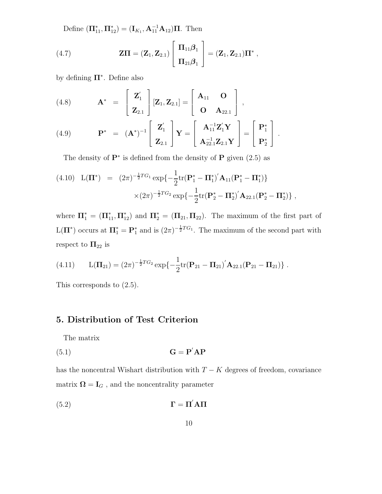Define  $(\mathbf{\Pi}_{11}^*, \mathbf{\Pi}_{12}^*) = (\mathbf{I}_{K_1}, \mathbf{A}_{11}^{-1} \mathbf{A}_{12})\mathbf{\Pi}$ . Then

(4.7) 
$$
\mathbf{Z}\mathbf{\Pi} = (\mathbf{Z}_1, \mathbf{Z}_{2.1}) \begin{bmatrix} \Pi_{11}\boldsymbol{\beta}_1 \\ \Pi_{21}\boldsymbol{\beta}_1 \end{bmatrix} = (\mathbf{Z}_1, \mathbf{Z}_{2.1})\mathbf{\Pi}^*,
$$

by defining **Π**<sup>∗</sup> . Define also

(4.8) 
$$
\mathbf{A}^* = \begin{bmatrix} \mathbf{Z}'_1 \\ \mathbf{Z}_{2.1} \end{bmatrix} [\mathbf{Z}_1, \mathbf{Z}_{2.1}] = \begin{bmatrix} \mathbf{A}_{11} & \mathbf{O} \\ \mathbf{O} & \mathbf{A}_{22.1} \end{bmatrix},
$$
  
(4.9) 
$$
\mathbf{P}^* = (\mathbf{A}^*)^{-1} \begin{bmatrix} \mathbf{Z}'_1 \\ \mathbf{Z}_{2.1} \end{bmatrix} \mathbf{Y} = \begin{bmatrix} \mathbf{A}_{11}^{-1} \mathbf{Z}'_1 \mathbf{Y} \\ \mathbf{A}_{22.1}^{-1} \mathbf{Z}_{2.1} \mathbf{Y} \end{bmatrix} = \begin{bmatrix} \mathbf{P}_1^* \\ \mathbf{P}_2^* \end{bmatrix}.
$$

The density of **P**<sup>∗</sup> is defined from the density of **P** given (2.5) as

(4.10) 
$$
L(\Pi^*) = (2\pi)^{-\frac{1}{2}TG_1} \exp\{-\frac{1}{2}\text{tr}(\mathbf{P}_1^* - \Pi_1^*)'\mathbf{A}_{11}(\mathbf{P}_1^* - \Pi_1^*)\}
$$

$$
\times (2\pi)^{-\frac{1}{2}TG_2} \exp\{-\frac{1}{2}\text{tr}(\mathbf{P}_2^* - \Pi_2^*)'\mathbf{A}_{22.1}(\mathbf{P}_2^* - \Pi_2^*)\},
$$

where  $\Pi_1^* = (\Pi_{11}^*, \Pi_{12}^*)$  and  $\Pi_2^* = (\Pi_{21}, \Pi_{22})$ . The maximum of the first part of  $L(\mathbf{\Pi}^*)$  occurs at  $\mathbf{\Pi}_1^* = \mathbf{P}_1^*$  and is  $(2\pi)^{-\frac{1}{2}TG_1}$ . The maximum of the second part with respect to  $\Pi_{22}$  is

(4.11) 
$$
L(\Pi_{21}) = (2\pi)^{-\frac{1}{2}TG_2} \exp\{-\frac{1}{2} \text{tr}(\mathbf{P}_{21} - \mathbf{\Pi}_{21})' \mathbf{A}_{22.1} (\mathbf{P}_{21} - \mathbf{\Pi}_{21})\}.
$$

This corresponds to (2.5).

## **5. Distribution of Test Criterion**

The matrix

$$
G = P'AP
$$

has the noncentral Wishart distribution with  $T - K$  degrees of freedom, covariance matrix  $\pmb{\Omega} = \mathbf{I}_G$  , and the noncentrality parameter

$$
\Gamma = \Pi^{'} \mathbf{A} \Pi
$$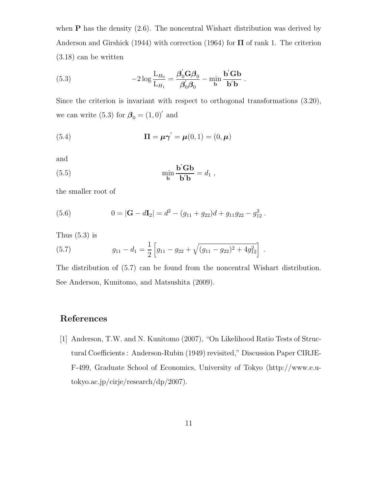when **P** has the density  $(2.6)$ . The noncentral Wishart distribution was derived by Anderson and Girshick (1944) with correction (1964) for **Π** of rank 1. The criterion (3.18) can be written

(5.3) 
$$
-2\log \frac{L_{H_0}}{L_{H_1}} = \frac{\beta'_0 G \beta_0}{\beta'_0 \beta_0} - \min_{\mathbf{b}} \frac{\mathbf{b}' G \mathbf{b}}{\mathbf{b}' \mathbf{b}}.
$$

Since the criterion is invariant with respect to orthogonal transformations (3.20), we can write (5.3) for  $\beta_0 = (1, 0)'$  and

(5.4) 
$$
\Pi = \mu \gamma' = \mu(0, 1) = (0, \mu)
$$

and

(5.5) 
$$
\min_{\mathbf{b}} \frac{\mathbf{b}'\mathbf{G}\mathbf{b}}{\mathbf{b}'\mathbf{b}} = d_1,
$$

the smaller root of

(5.6) 
$$
0 = |\mathbf{G} - d\mathbf{I}_2| = d^2 - (g_{11} + g_{22})d + g_{11}g_{22} - g_{12}^2.
$$

Thus  $(5.3)$  is

(5.7) 
$$
g_{11} - d_1 = \frac{1}{2} \left[ g_{11} - g_{22} + \sqrt{(g_{11} - g_{22})^2 + 4g_{12}^2} \right].
$$

The distribution of (5.7) can be found from the noncentral Wishart distribution. See Anderson, Kunitomo, and Matsushita (2009).

## **References**

[1] Anderson, T.W. and N. Kunitomo (2007), "On Likelihood Ratio Tests of Structural Coefficients : Anderson-Rubin (1949) revisited," Discussion Paper CIRJE-F-499, Graduate School of Economics, University of Tokyo (http://www.e.utokyo.ac.jp/cirje/research/dp/2007).